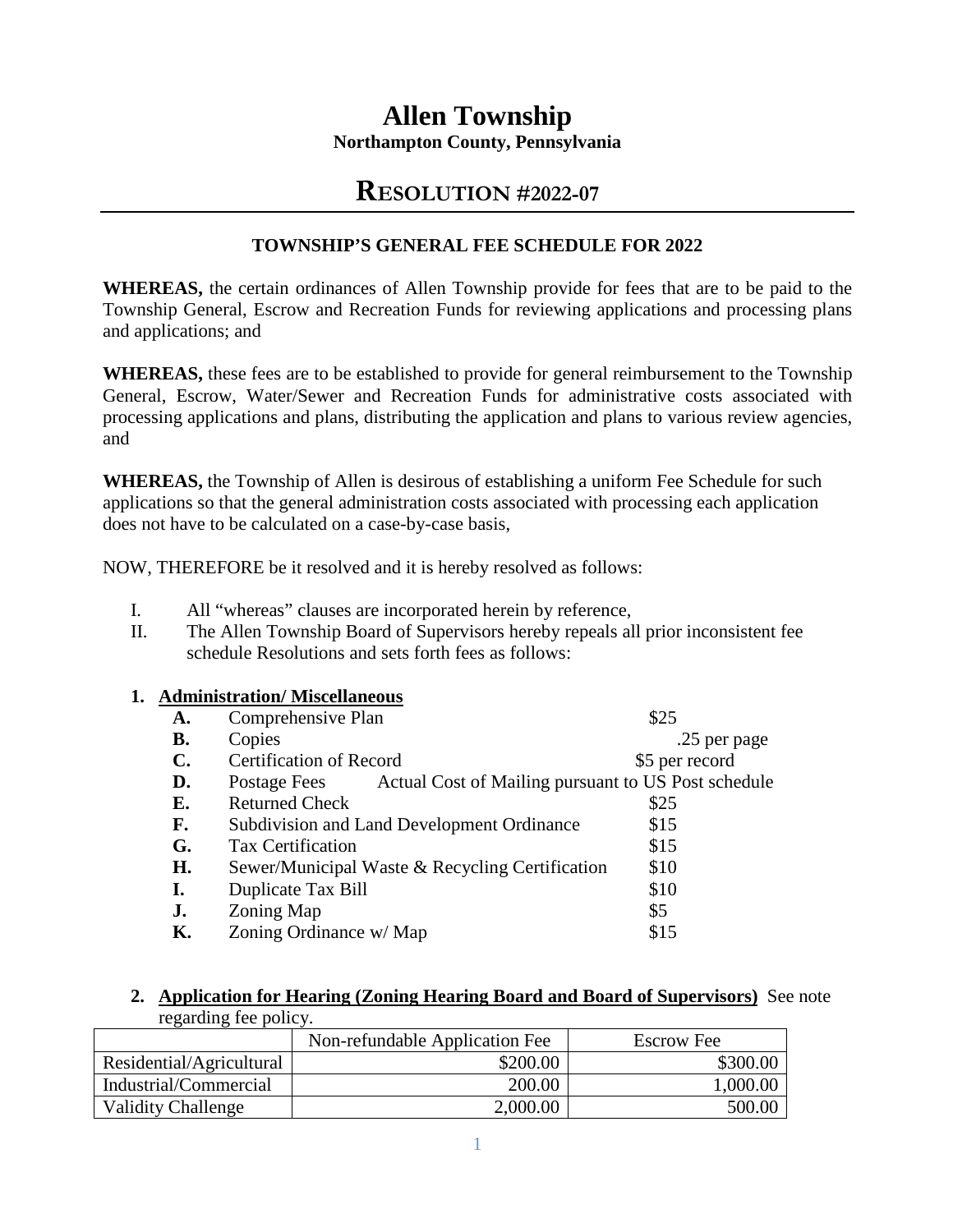# **Allen Township Northampton County, Pennsylvania**

# **RESOLUTION #2022-07**

# **TOWNSHIP'S GENERAL FEE SCHEDULE FOR 2022**

**WHEREAS,** the certain ordinances of Allen Township provide for fees that are to be paid to the Township General, Escrow and Recreation Funds for reviewing applications and processing plans and applications; and

**WHEREAS,** these fees are to be established to provide for general reimbursement to the Township General, Escrow, Water/Sewer and Recreation Funds for administrative costs associated with processing applications and plans, distributing the application and plans to various review agencies, and

**WHEREAS,** the Township of Allen is desirous of establishing a uniform Fee Schedule for such applications so that the general administration costs associated with processing each application does not have to be calculated on a case-by-case basis,

NOW, THEREFORE be it resolved and it is hereby resolved as follows:

- I. All "whereas" clauses are incorporated herein by reference,
- II. The Allen Township Board of Supervisors hereby repeals all prior inconsistent fee schedule Resolutions and sets forth fees as follows:

## **1. Administration/ Miscellaneous**

| A.             | Comprehensive Plan                                                  | \$25           |
|----------------|---------------------------------------------------------------------|----------------|
| <b>B.</b>      | Copies                                                              | .25 per page   |
| $\mathbf{C}$ . | <b>Certification of Record</b>                                      | \$5 per record |
| D.             | Actual Cost of Mailing pursuant to US Post schedule<br>Postage Fees |                |
| E.             | <b>Returned Check</b>                                               | \$25           |
| F.             | Subdivision and Land Development Ordinance                          | \$15           |
| G.             | <b>Tax Certification</b>                                            | \$15           |
| H.             | Sewer/Municipal Waste & Recycling Certification                     | \$10           |
| I.             | Duplicate Tax Bill                                                  | \$10           |
| J.             | Zoning Map                                                          | \$5            |
| К.             | Zoning Ordinance w/ Map                                             | \$15           |
|                |                                                                     |                |

#### **2. Application for Hearing (Zoning Hearing Board and Board of Supervisors)** See note regarding fee policy.

| 10,000                    |                                |                   |  |  |
|---------------------------|--------------------------------|-------------------|--|--|
|                           | Non-refundable Application Fee | <b>Escrow Fee</b> |  |  |
| Residential/Agricultural  | \$200.00                       | \$300.00          |  |  |
| Industrial/Commercial     | 200.00                         | 1,000.00          |  |  |
| <b>Validity Challenge</b> | 2,000.00                       | 500.00            |  |  |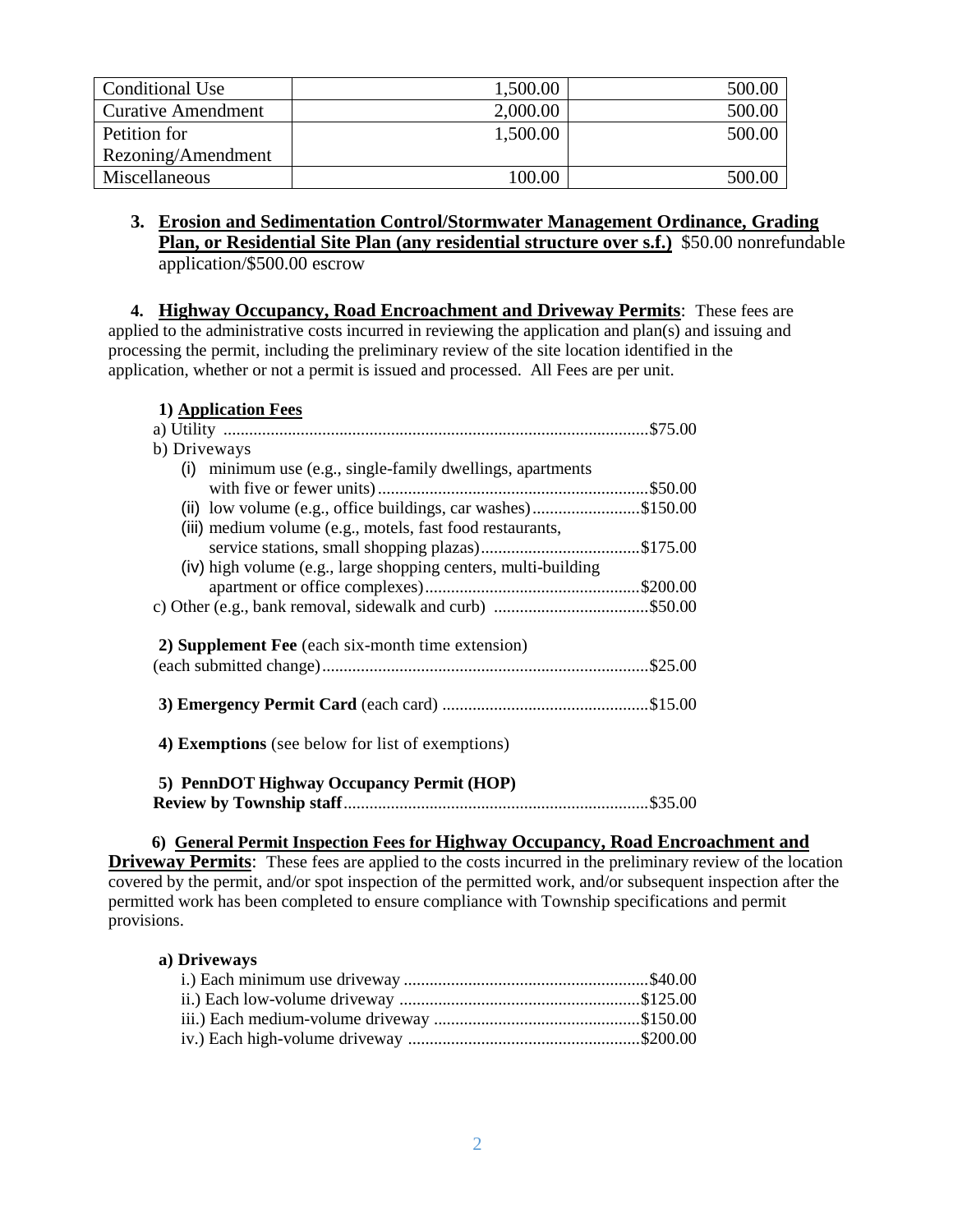| Conditional Use           | 1,500.00 | 500.00 |
|---------------------------|----------|--------|
| <b>Curative Amendment</b> | 2,000.00 | 500.00 |
| Petition for              | 1,500.00 | 500.00 |
| Rezoning/Amendment        |          |        |
| Miscellaneous             | 100.00   | 500.00 |

**3. Erosion and Sedimentation Control/Stormwater Management Ordinance, Grading Plan, or Residential Site Plan (any residential structure over s.f.)** \$50.00 nonrefundable application/\$500.00 escrow

**4. Highway Occupancy, Road Encroachment and Driveway Permits**: These fees are applied to the administrative costs incurred in reviewing the application and plan(s) and issuing and processing the permit, including the preliminary review of the site location identified in the application, whether or not a permit is issued and processed. All Fees are per unit.

| 1) Application Fees                                            |
|----------------------------------------------------------------|
|                                                                |
| b) Driveways                                                   |
| $(i)$ minimum use (e.g., single-family dwellings, apartments   |
|                                                                |
| (ii) low volume (e.g., office buildings, car washes)\$150.00   |
| (iii) medium volume (e.g., motels, fast food restaurants,      |
|                                                                |
| (iv) high volume (e.g., large shopping centers, multi-building |
|                                                                |
|                                                                |
| 2) Supplement Fee (each six-month time extension)              |
|                                                                |
| <b>4) Exemptions</b> (see below for list of exemptions)        |
| 5) PennDOT Highway Occupancy Permit (HOP)                      |

### **6) General Permit Inspection Fees for Highway Occupancy, Road Encroachment and**

**Driveway Permits**: These fees are applied to the costs incurred in the preliminary review of the location covered by the permit, and/or spot inspection of the permitted work, and/or subsequent inspection after the permitted work has been completed to ensure compliance with Township specifications and permit provisions.

#### **a) Driveways**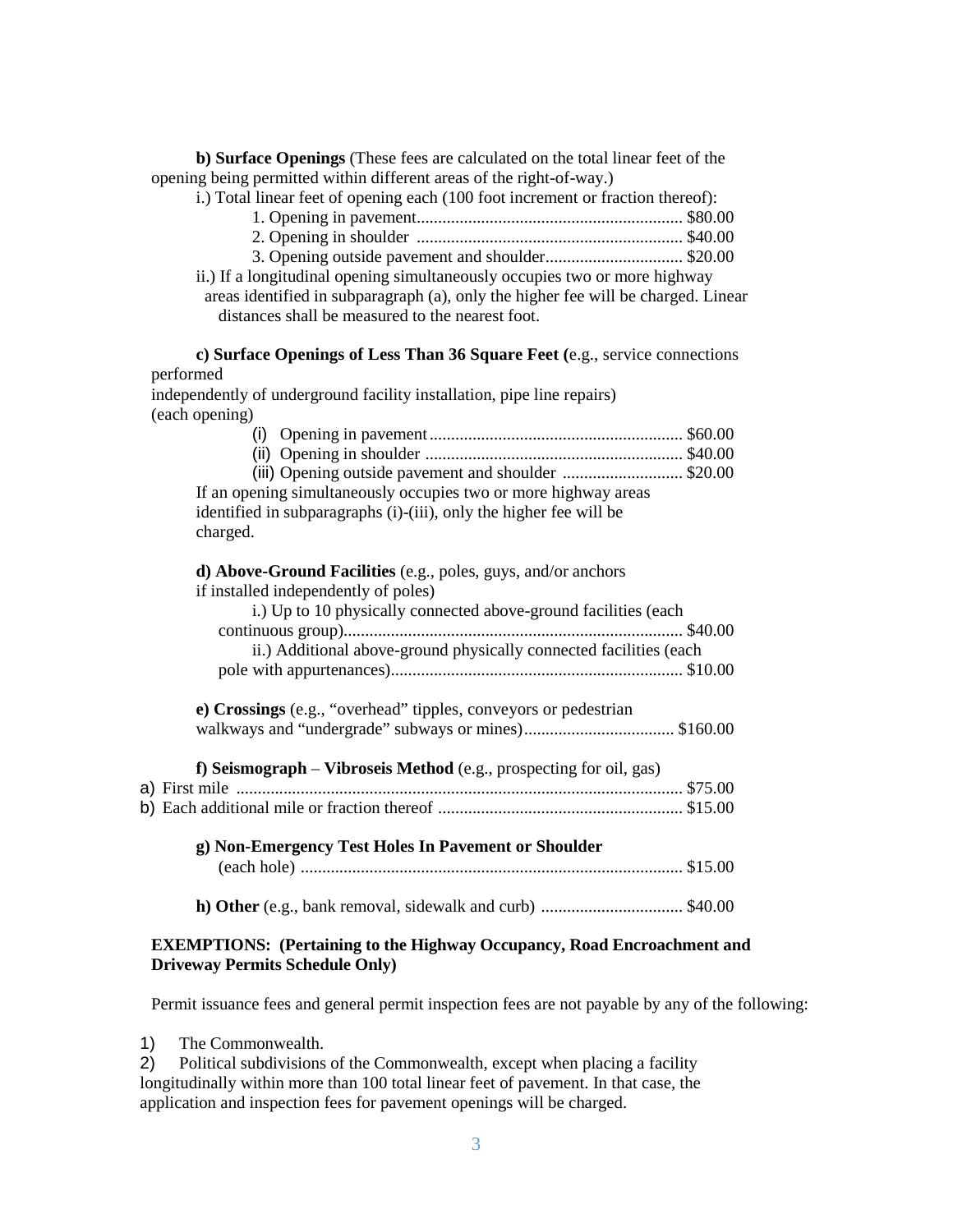**b) Surface Openings** (These fees are calculated on the total linear feet of the opening being permitted within different areas of the right-of-way.)

i.) Total linear feet of opening each (100 foot increment or fraction thereof):

- 1. Opening in pavement.............................................................. \$80.00
- 2. Opening in shoulder .............................................................. \$40.00
- 3. Opening outside pavement and shoulder ................................ \$20.00
- ii.) If a longitudinal opening simultaneously occupies two or more highway

areas identified in subparagraph (a), only the higher fee will be charged. Linear distances shall be measured to the nearest foot.

**c) Surface Openings of Less Than 36 Square Feet (**e.g., service connections performed

independently of underground facility installation, pipe line repairs) (each opening)

| (iii) Opening outside pavement and shoulder \$20.00             |  |
|-----------------------------------------------------------------|--|
| If an opening simultaneously occupies two or more highway areas |  |

identified in subparagraphs (i)-(iii), only the higher fee will be charged.

**d) Above-Ground Facilities** (e.g., poles, guys, and/or anchors if installed independently of poles)

| i.) Up to 10 physically connected above-ground facilities (each    |
|--------------------------------------------------------------------|
|                                                                    |
| ii.) Additional above-ground physically connected facilities (each |
|                                                                    |

**e) Crossings** (e.g., "overhead" tipples, conveyors or pedestrian walkways and "undergrade" subways or mines) ................................... \$160.00

| f) Seismograph – Vibroseis Method (e.g., prospecting for oil, gas) |  |  |
|--------------------------------------------------------------------|--|--|
|                                                                    |  |  |
|                                                                    |  |  |
|                                                                    |  |  |

**g) Non-Emergency Test Holes In Pavement or Shoulder**  (each hole) ......................................................................................... \$15.00

**h) Other** (e.g., bank removal, sidewalk and curb) ................................. \$40.00

#### **EXEMPTIONS: (Pertaining to the Highway Occupancy, Road Encroachment and Driveway Permits Schedule Only)**

Permit issuance fees and general permit inspection fees are not payable by any of the following:

1) The Commonwealth.

2) Political subdivisions of the Commonwealth, except when placing a facility longitudinally within more than 100 total linear feet of pavement. In that case, the application and inspection fees for pavement openings will be charged.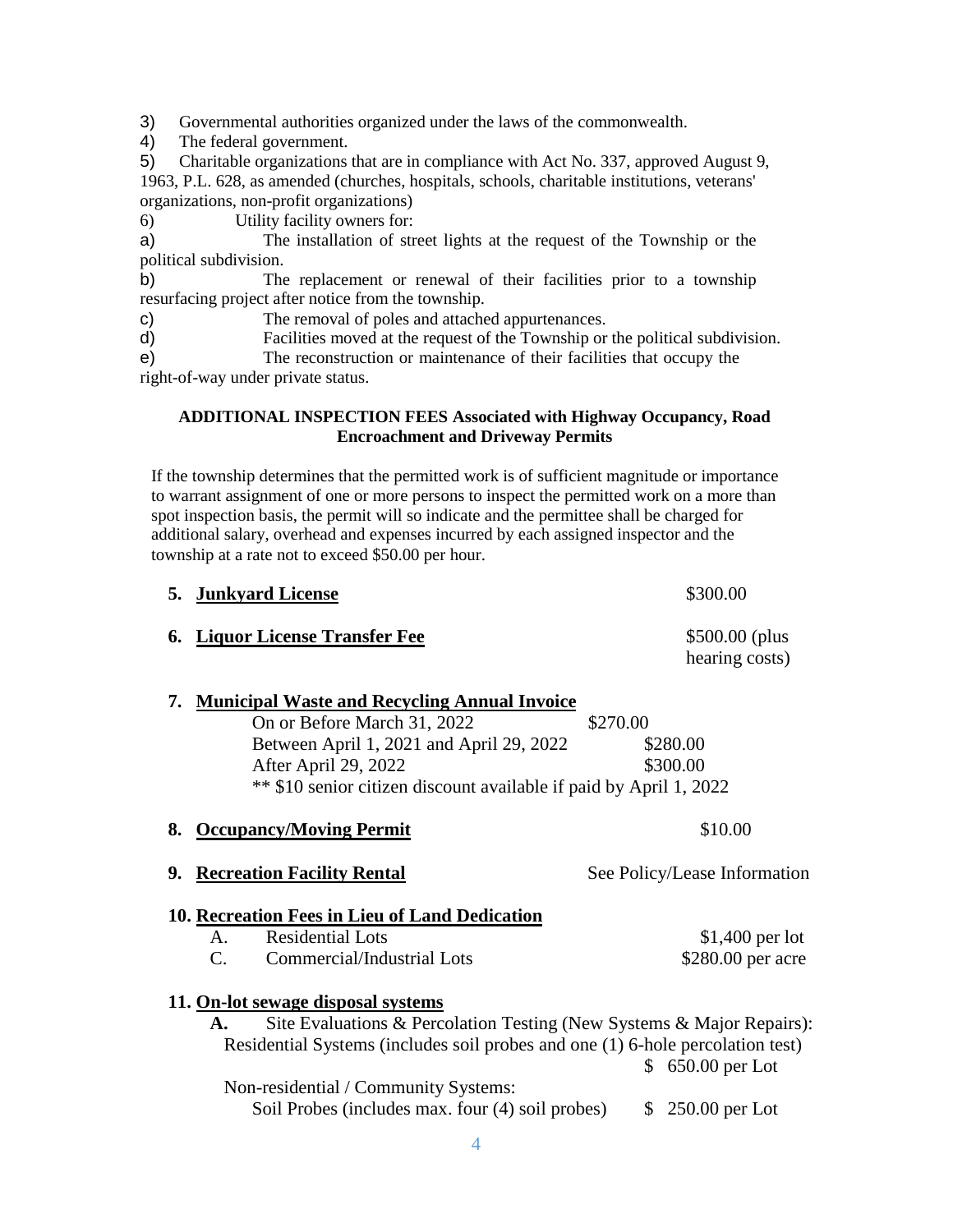3) Governmental authorities organized under the laws of the commonwealth.

4) The federal government.

5) Charitable organizations that are in compliance with Act No. 337, approved August 9, 1963, P.L. 628, as amended (churches, hospitals, schools, charitable institutions, veterans' organizations, non-profit organizations)

6) Utility facility owners for:

a) The installation of street lights at the request of the Township or the political subdivision.

b) The replacement or renewal of their facilities prior to a township resurfacing project after notice from the township.

c) The removal of poles and attached appurtenances.

d) Facilities moved at the request of the Township or the political subdivision.

e) The reconstruction or maintenance of their facilities that occupy the right-of-way under private status.

### **ADDITIONAL INSPECTION FEES Associated with Highway Occupancy, Road Encroachment and Driveway Permits**

If the township determines that the permitted work is of sufficient magnitude or importance to warrant assignment of one or more persons to inspect the permitted work on a more than spot inspection basis, the permit will so indicate and the permittee shall be charged for additional salary, overhead and expenses incurred by each assigned inspector and the township at a rate not to exceed \$50.00 per hour.

|    | 5. Junkyard License                                                                                                                                     |          | \$300.00                              |
|----|---------------------------------------------------------------------------------------------------------------------------------------------------------|----------|---------------------------------------|
| 6. | <b>Liquor License Transfer Fee</b>                                                                                                                      |          | \$500.00 (plus<br>hearing costs)      |
| 7. | <b>Municipal Waste and Recycling Annual Invoice</b>                                                                                                     |          |                                       |
|    | On or Before March 31, 2022                                                                                                                             | \$270.00 |                                       |
|    | Between April 1, 2021 and April 29, 2022                                                                                                                |          | \$280.00                              |
|    | After April 29, 2022                                                                                                                                    |          | \$300.00                              |
|    | ** \$10 senior citizen discount available if paid by April 1, 2022                                                                                      |          |                                       |
| 8. | <b>Occupancy/Moving Permit</b>                                                                                                                          |          | \$10.00                               |
|    |                                                                                                                                                         |          |                                       |
| 9. | <b>Recreation Facility Rental</b>                                                                                                                       |          | See Policy/Lease Information          |
|    |                                                                                                                                                         |          |                                       |
|    | 10. Recreation Fees in Lieu of Land Dedication<br><b>Residential Lots</b><br>$A_{\cdot}$                                                                |          |                                       |
|    | $\mathcal{C}$ .<br>Commercial/Industrial Lots                                                                                                           |          | $$1,400$ per lot<br>\$280.00 per acre |
|    |                                                                                                                                                         |          |                                       |
|    | 11. On-lot sewage disposal systems<br>A.                                                                                                                |          |                                       |
|    | Site Evaluations & Percolation Testing (New Systems & Major Repairs):<br>Residential Systems (includes soil probes and one (1) 6-hole percolation test) |          |                                       |
|    | Non-residential / Community Systems:                                                                                                                    |          | \$ 650.00 per Lot                     |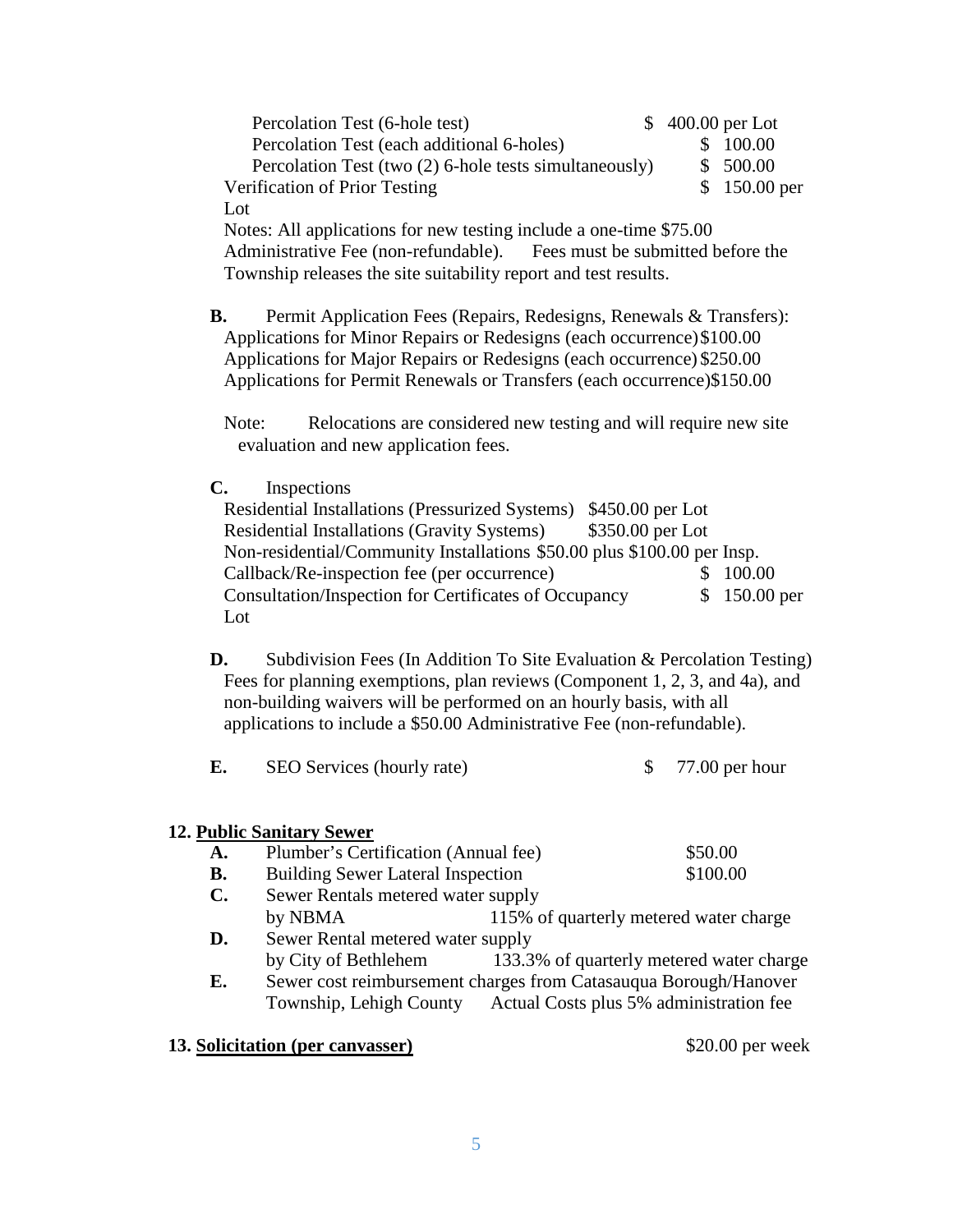| Percolation Test (6-hole test)                                                                                                                                                                                                                                                                   |  | $$400.00$ per Lot |  |
|--------------------------------------------------------------------------------------------------------------------------------------------------------------------------------------------------------------------------------------------------------------------------------------------------|--|-------------------|--|
| Percolation Test (each additional 6-holes)                                                                                                                                                                                                                                                       |  | \$ 100.00         |  |
| Percolation Test (two (2) 6-hole tests simultaneously)                                                                                                                                                                                                                                           |  | \$500.00          |  |
| Verification of Prior Testing                                                                                                                                                                                                                                                                    |  | $$150.00$ per     |  |
| Lot                                                                                                                                                                                                                                                                                              |  |                   |  |
| $\mathbf{M}$ and $\mathbf{M}$ are $\mathbf{M}$ and $\mathbf{M}$ and $\mathbf{M}$ and $\mathbf{M}$ and $\mathbf{M}$ and $\mathbf{M}$ and $\mathbf{M}$ and $\mathbf{M}$ and $\mathbf{M}$ and $\mathbf{M}$ and $\mathbf{M}$ and $\mathbf{M}$ and $\mathbf{M}$ and $\mathbf{M}$ and $\mathbf{M}$ and |  |                   |  |

Notes: All applications for new testing include a one-time \$75.00 Administrative Fee (non-refundable). Fees must be submitted before the Township releases the site suitability report and test results.

**B.** Permit Application Fees (Repairs, Redesigns, Renewals & Transfers): Applications for Minor Repairs or Redesigns (each occurrence) \$100.00 Applications for Major Repairs or Redesigns (each occurrence) \$250.00 Applications for Permit Renewals or Transfers (each occurrence)\$150.00

Note: Relocations are considered new testing and will require new site evaluation and new application fees.

**C.** Inspections

| Residential Installations (Pressurized Systems) \$450.00 per Lot        |                  |               |
|-------------------------------------------------------------------------|------------------|---------------|
| <b>Residential Installations (Gravity Systems)</b>                      | \$350.00 per Lot |               |
| Non-residential/Community Installations \$50.00 plus \$100.00 per Insp. |                  |               |
| Callback/Re-inspection fee (per occurrence)                             |                  | \$100.00      |
| Consultation/Inspection for Certificates of Occupancy                   |                  | $$150.00$ per |
| Lot                                                                     |                  |               |

**D.** Subdivision Fees (In Addition To Site Evaluation & Percolation Testing) Fees for planning exemptions, plan reviews (Component 1, 2, 3, and 4a), and non-building waivers will be performed on an hourly basis, with all applications to include a \$50.00 Administrative Fee (non-refundable).

| E. | SEO Services (hourly rate) | $77.00$ per hour |
|----|----------------------------|------------------|
|----|----------------------------|------------------|

### **12. Public Sanitary Sewer**

- A. Plumber's Certification (Annual fee)  $$50.00$
- **B.** Building Sewer Lateral Inspection  $$100.00$
- **C.** Sewer Rentals metered water supply by NBMA 115% of quarterly metered water charge
- **D.** Sewer Rental metered water supply by City of Bethlehem 133.3% of quarterly metered water charge
- **E.** Sewer cost reimbursement charges from Catasauqua Borough/Hanover Township, Lehigh County Actual Costs plus 5% administration fee
- **13. Solicitation (per canvasser)** \$20.00 per week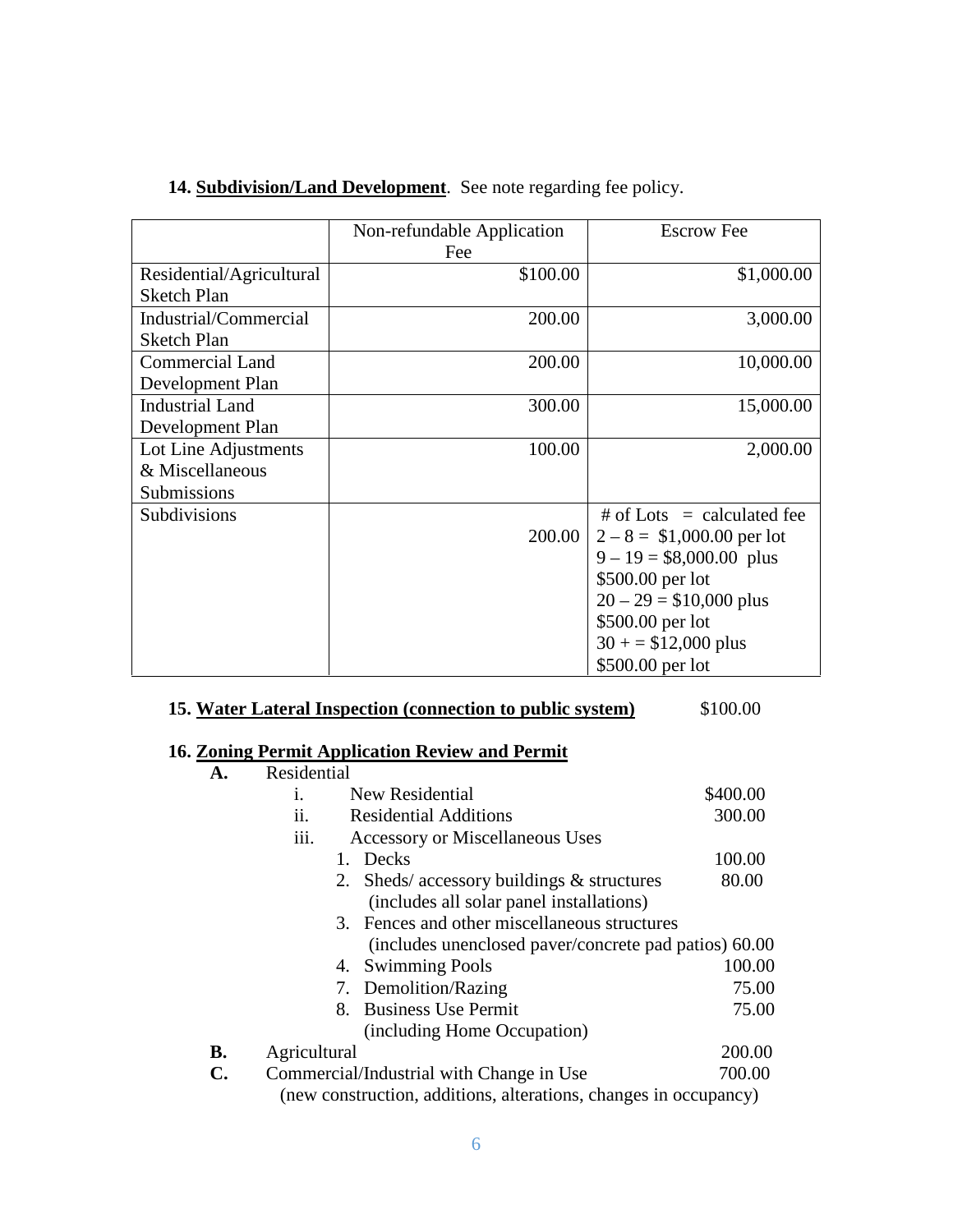14. **Subdivision/Land Development**. See note regarding fee policy.

|                                                        | Non-refundable Application<br>Fee | <b>Escrow Fee</b>                                                                                                                                                                                     |
|--------------------------------------------------------|-----------------------------------|-------------------------------------------------------------------------------------------------------------------------------------------------------------------------------------------------------|
| Residential/Agricultural<br><b>Sketch Plan</b>         | \$100.00                          | \$1,000.00                                                                                                                                                                                            |
| Industrial/Commercial<br><b>Sketch Plan</b>            | 200.00                            | 3,000.00                                                                                                                                                                                              |
| <b>Commercial Land</b><br>Development Plan             | 200.00                            | 10,000.00                                                                                                                                                                                             |
| <b>Industrial Land</b><br>Development Plan             | 300.00                            | 15,000.00                                                                                                                                                                                             |
| Lot Line Adjustments<br>& Miscellaneous<br>Submissions | 100.00                            | 2,000.00                                                                                                                                                                                              |
| Subdivisions                                           | 200.00                            | # of Lots $=$ calculated fee<br>$2-8 = $1,000.00$ per lot<br>$9 - 19 = $8,000.00$ plus<br>\$500.00 per lot<br>$20 - 29 = $10,000$ plus<br>\$500.00 per lot<br>$30 + 512,000$ plus<br>\$500.00 per lot |

# **15. Water Lateral Inspection (connection to public system)** \$100.00

# **16. Zoning Permit Application Review and Permit**

|           | Residential                                                      |          |  |  |  |
|-----------|------------------------------------------------------------------|----------|--|--|--|
|           | New Residential<br>1.                                            | \$400.00 |  |  |  |
|           | ii.<br><b>Residential Additions</b>                              | 300.00   |  |  |  |
|           | iii.<br><b>Accessory or Miscellaneous Uses</b>                   |          |  |  |  |
|           | Decks<br>1.                                                      | 100.00   |  |  |  |
|           | Sheds/accessory buildings $&$ structures<br>2.                   | 80.00    |  |  |  |
|           | (includes all solar panel installations)                         |          |  |  |  |
|           | 3. Fences and other miscellaneous structures                     |          |  |  |  |
|           | (includes unenclosed paver/concrete pad patios) 60.00            |          |  |  |  |
|           | 4. Swimming Pools                                                | 100.00   |  |  |  |
|           | 7. Demolition/Razing                                             | 75.00    |  |  |  |
|           | 8. Business Use Permit                                           | 75.00    |  |  |  |
|           | (including Home Occupation)                                      |          |  |  |  |
| <b>B.</b> | Agricultural                                                     | 200.00   |  |  |  |
| C.        | Commercial/Industrial with Change in Use                         | 700.00   |  |  |  |
|           | (new construction, additions, alterations, changes in occupancy) |          |  |  |  |